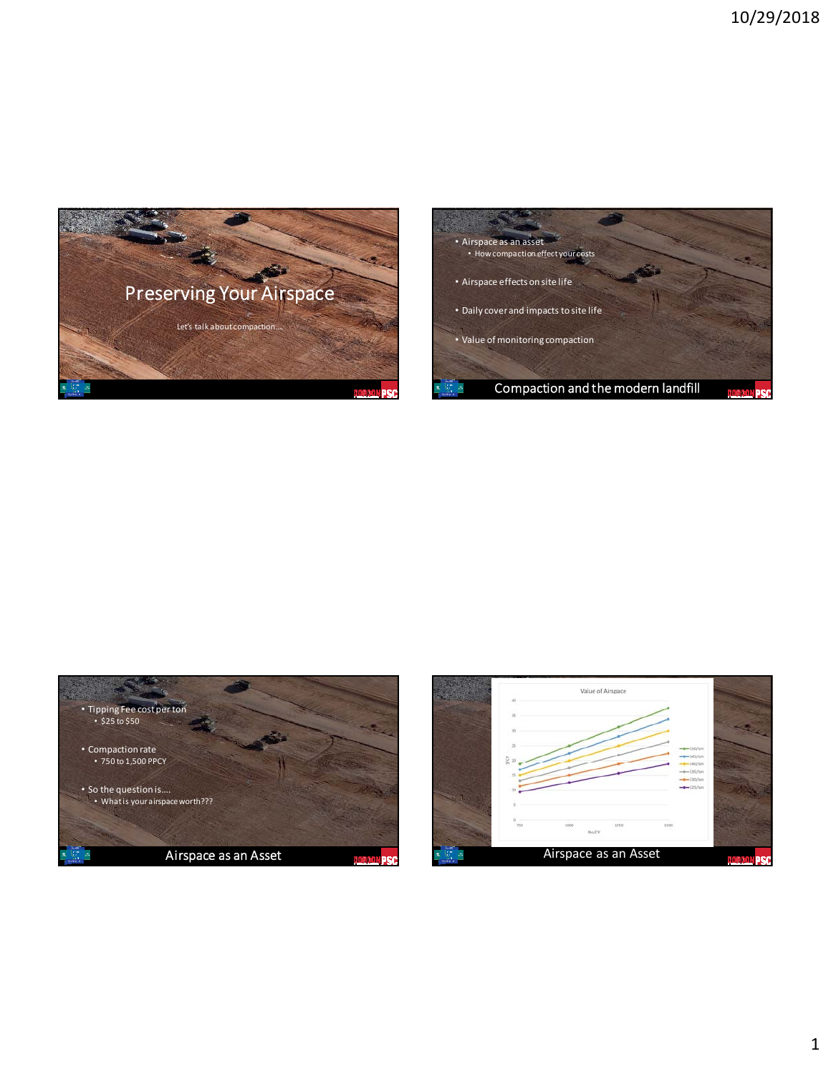





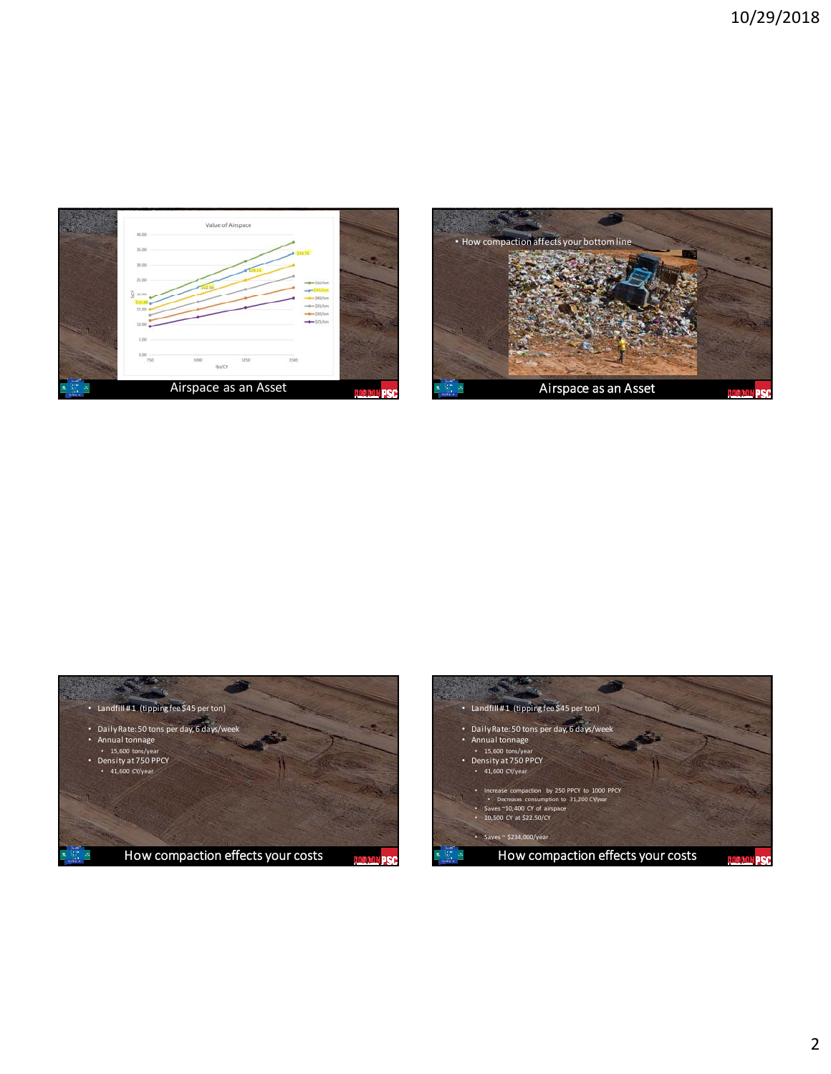



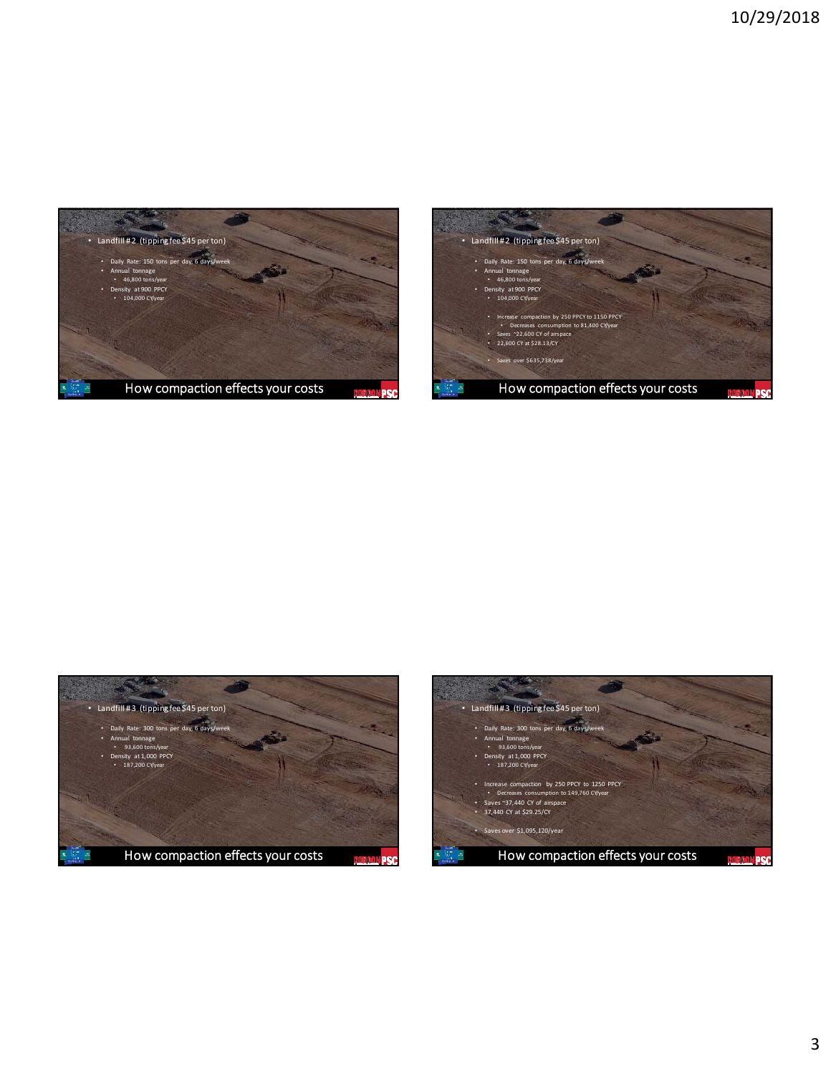



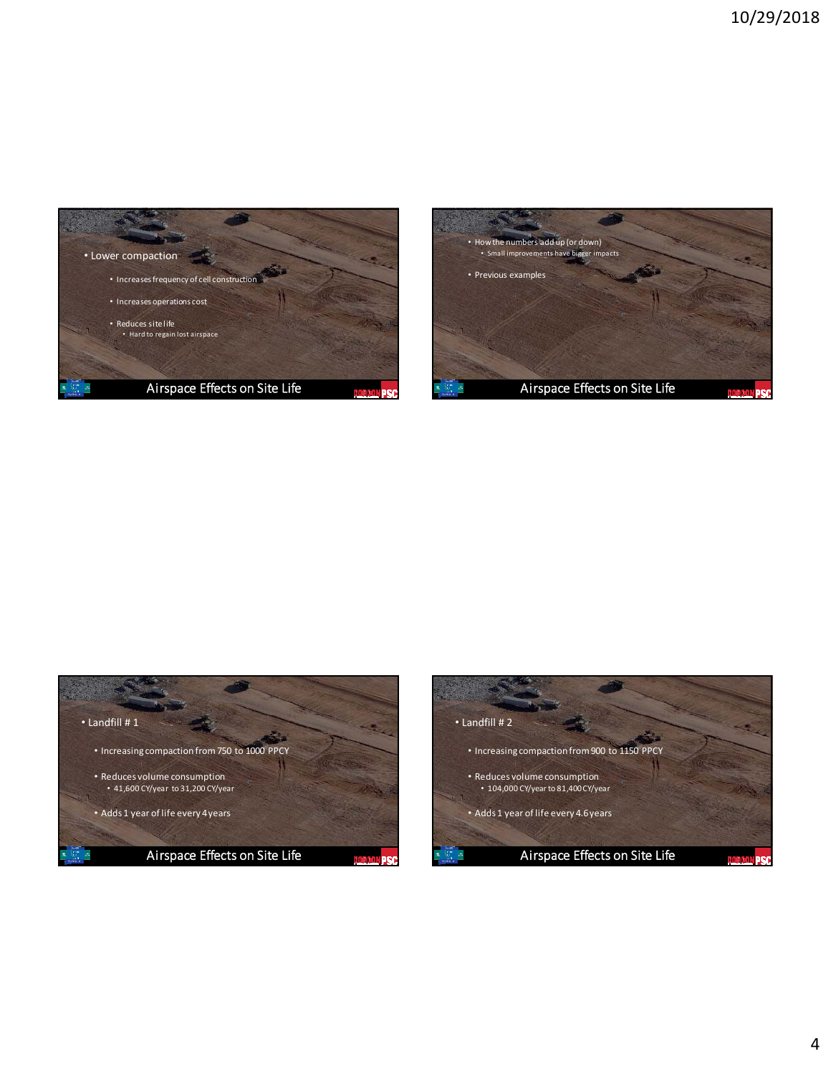





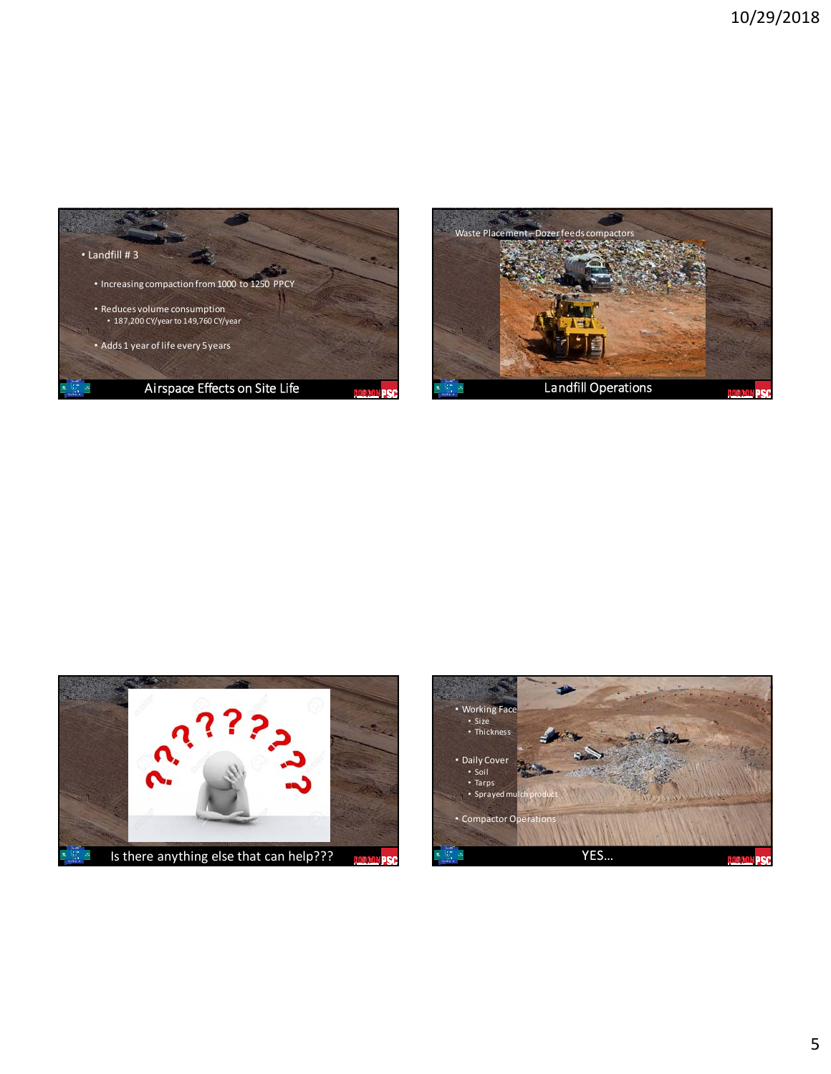



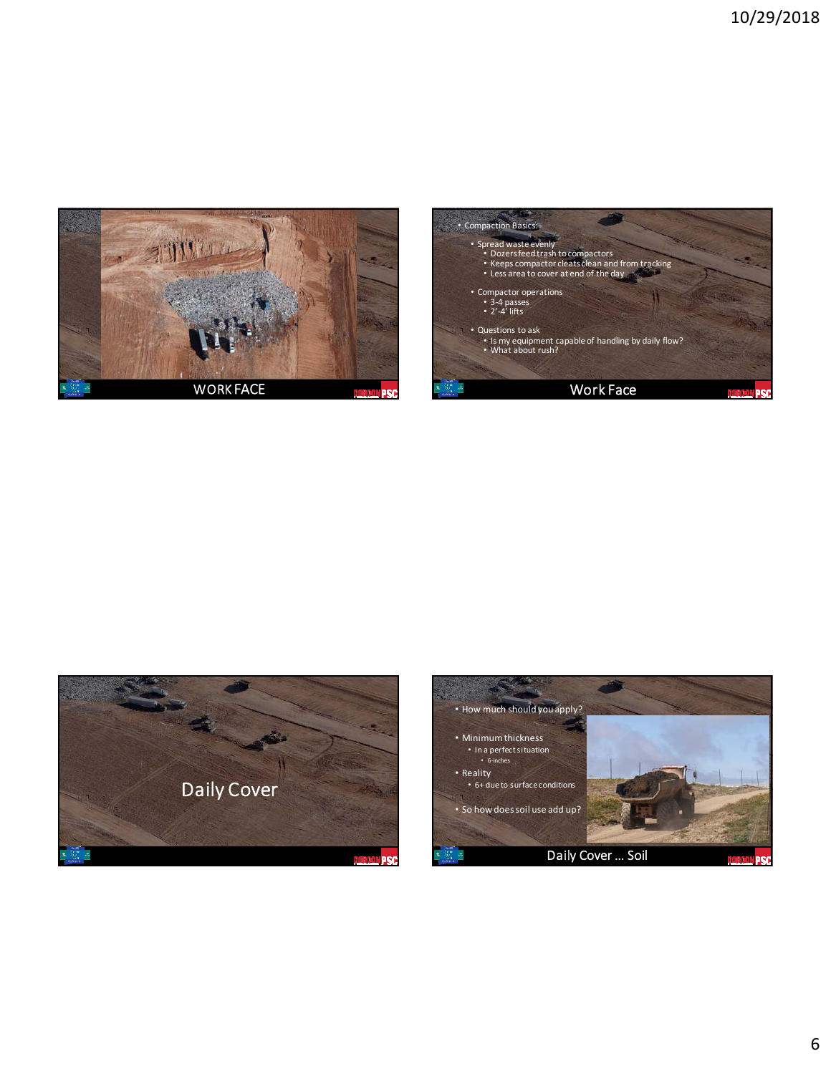





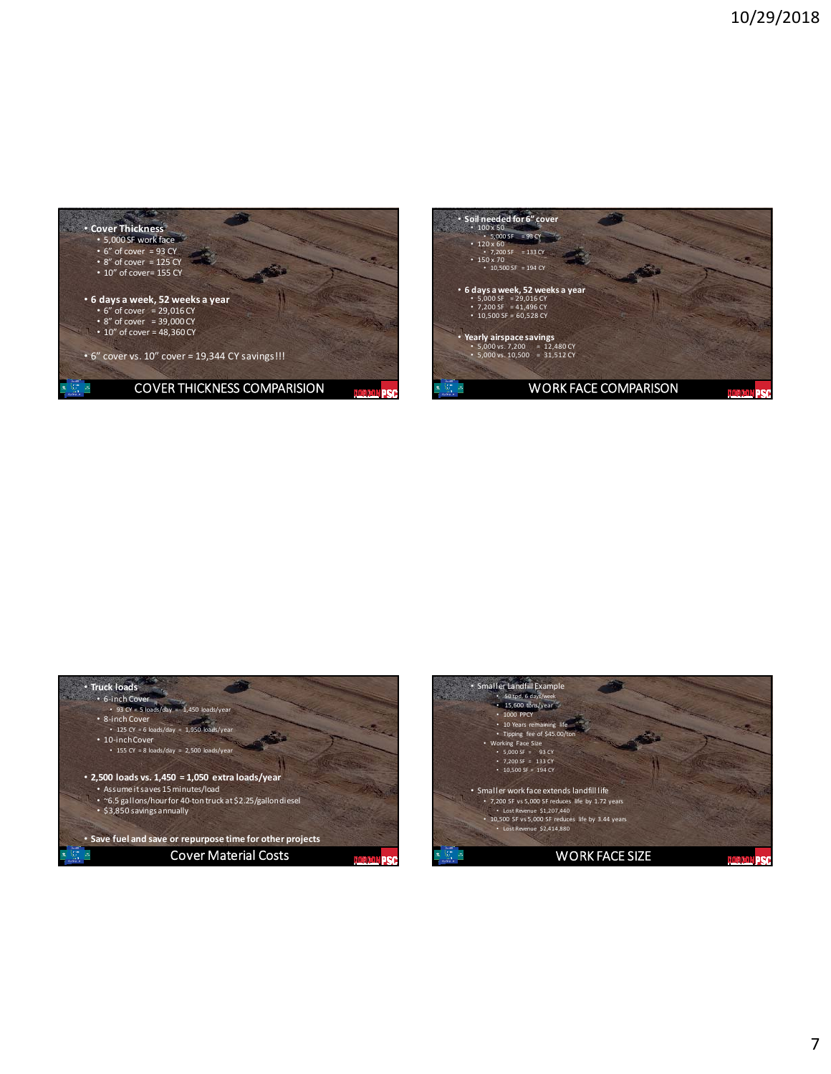







7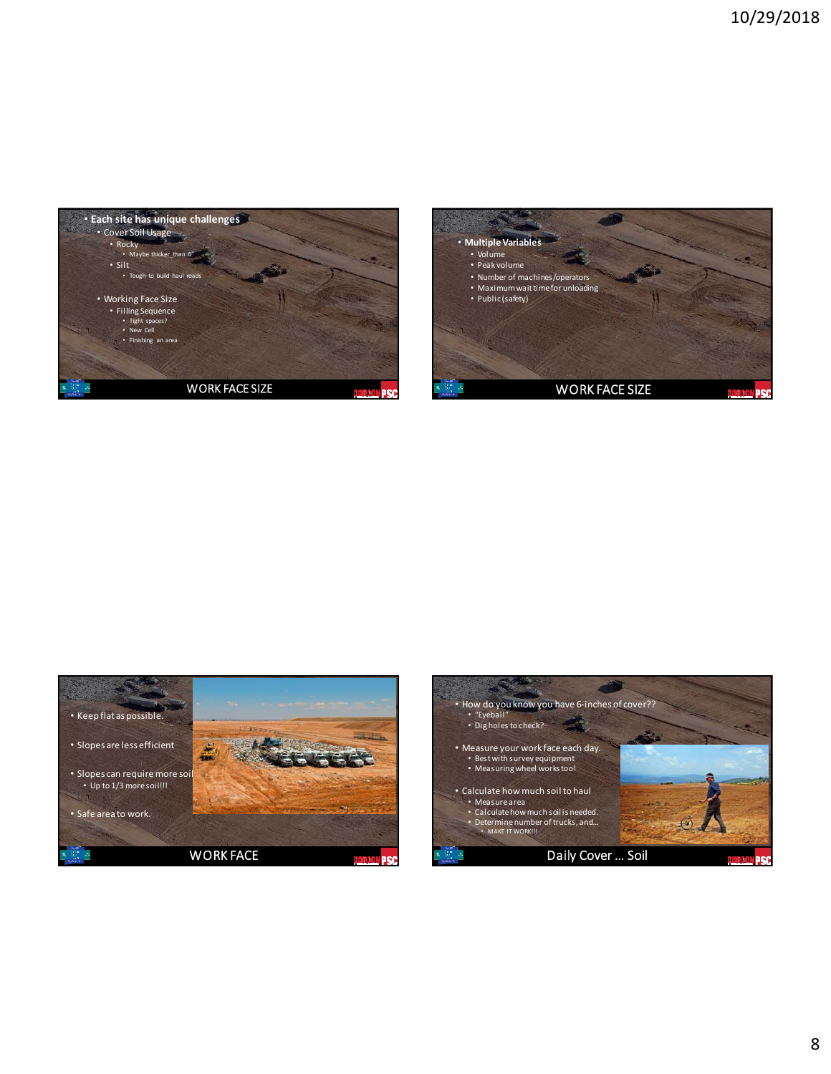







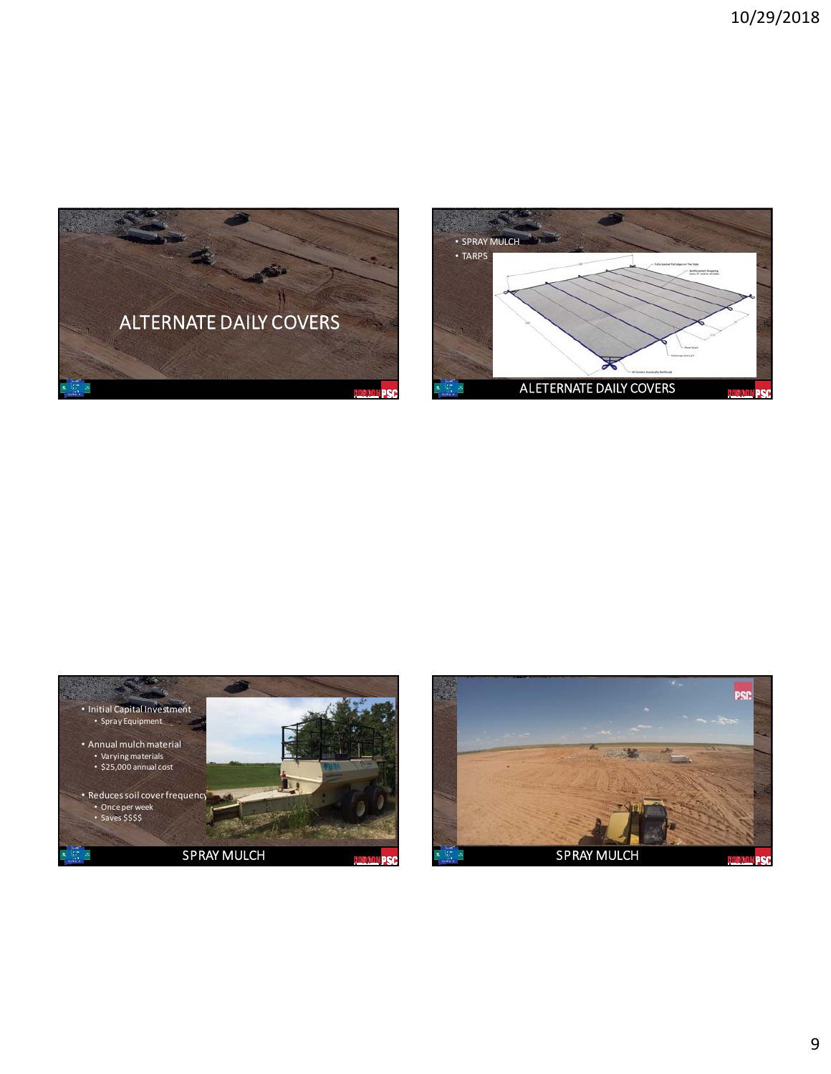





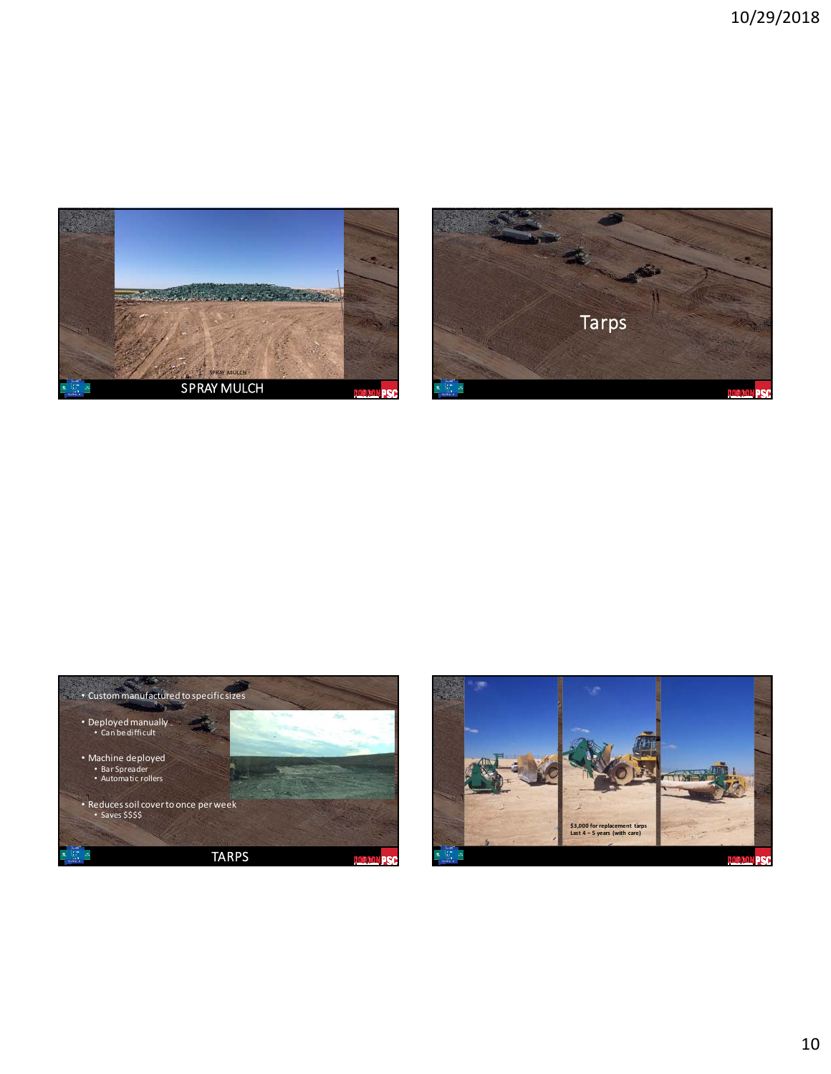



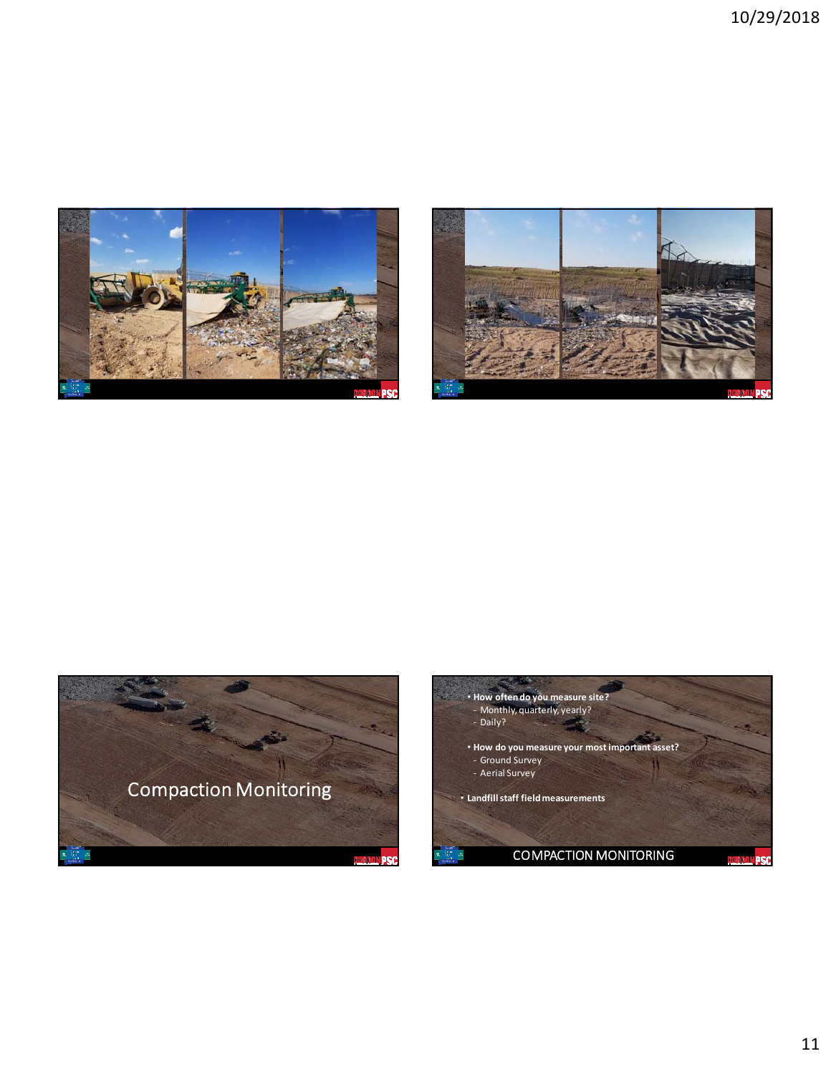





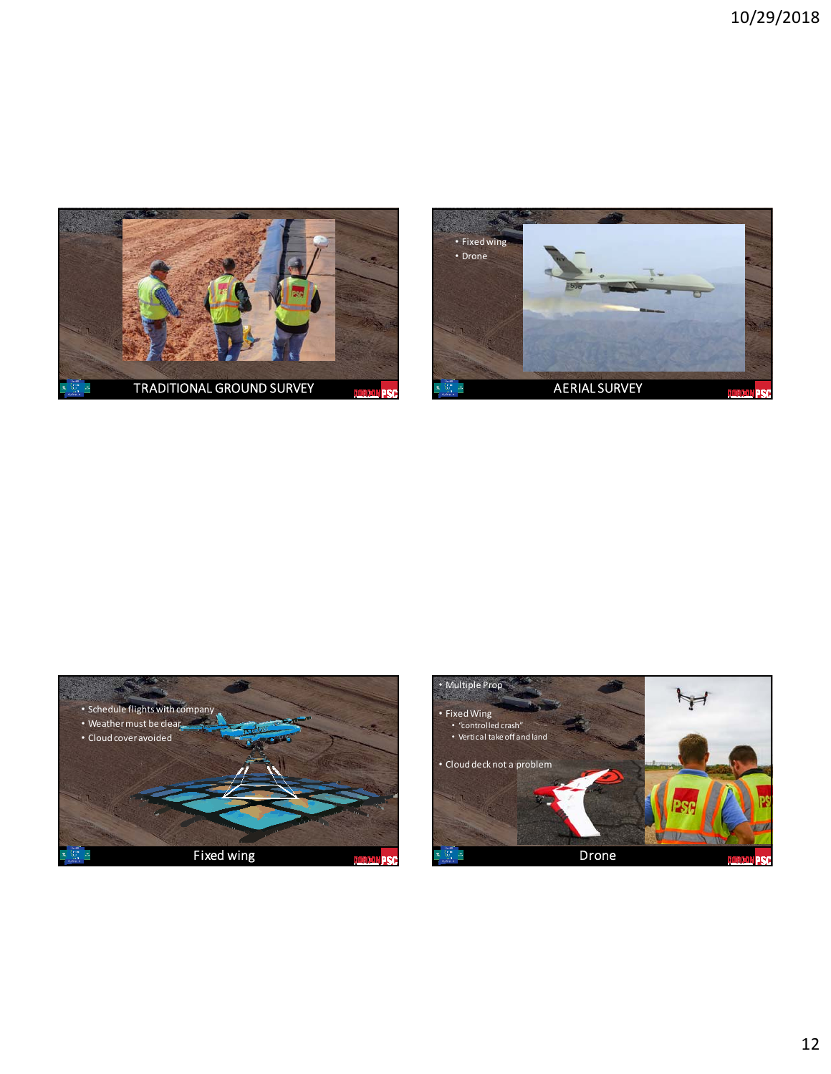





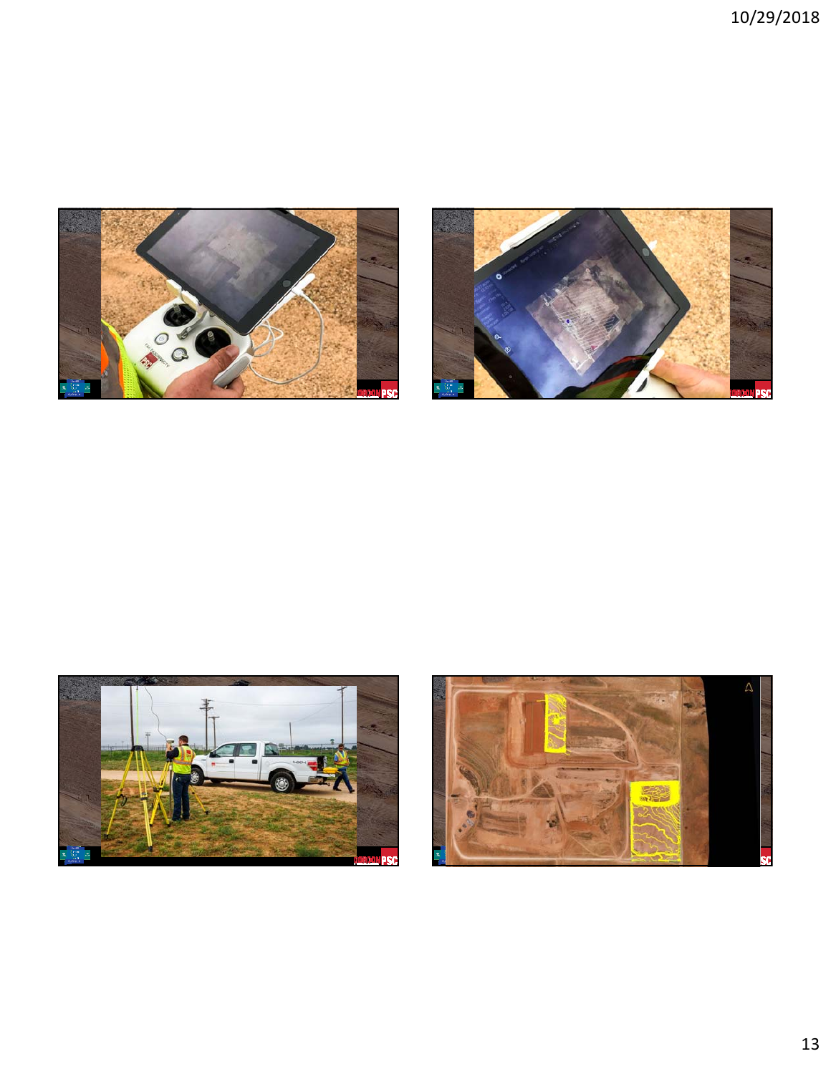





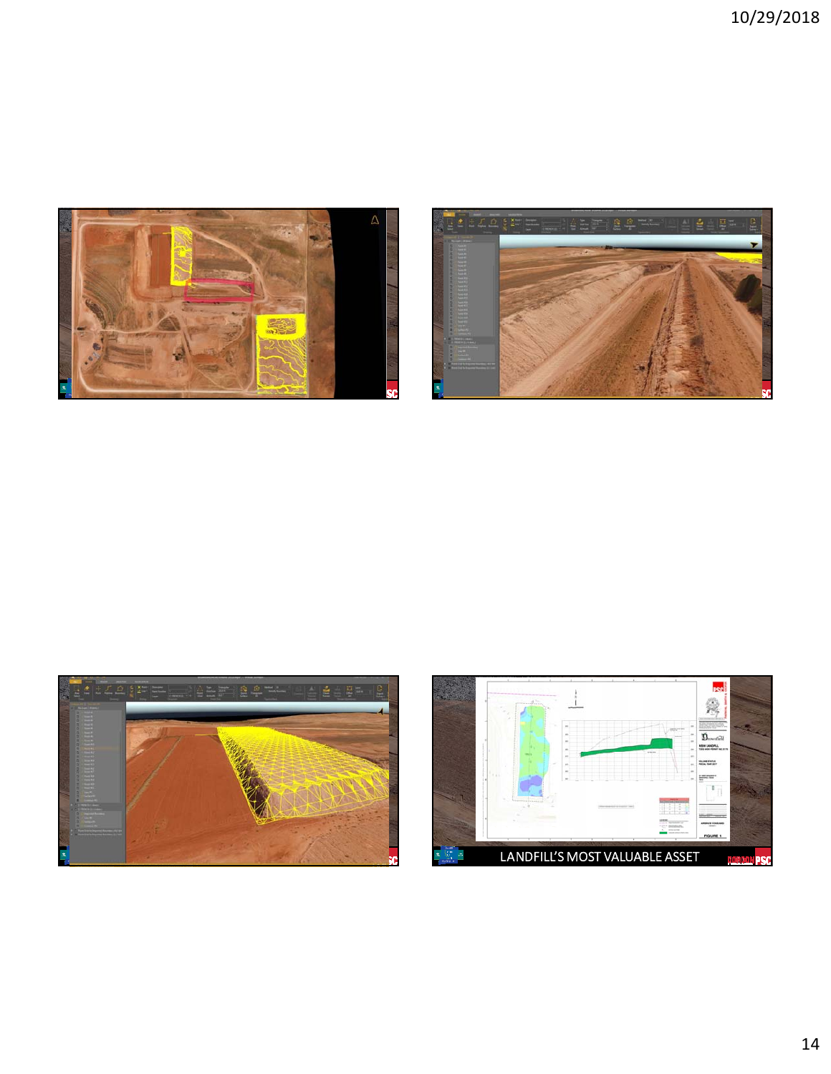





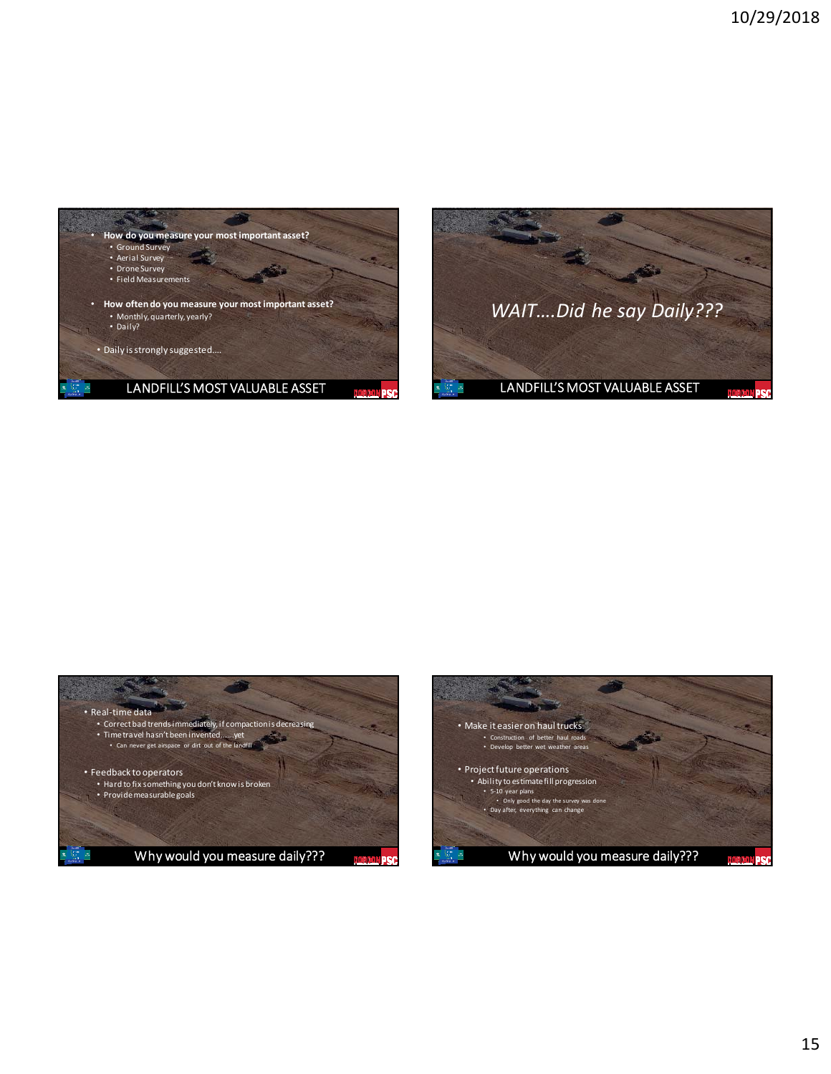



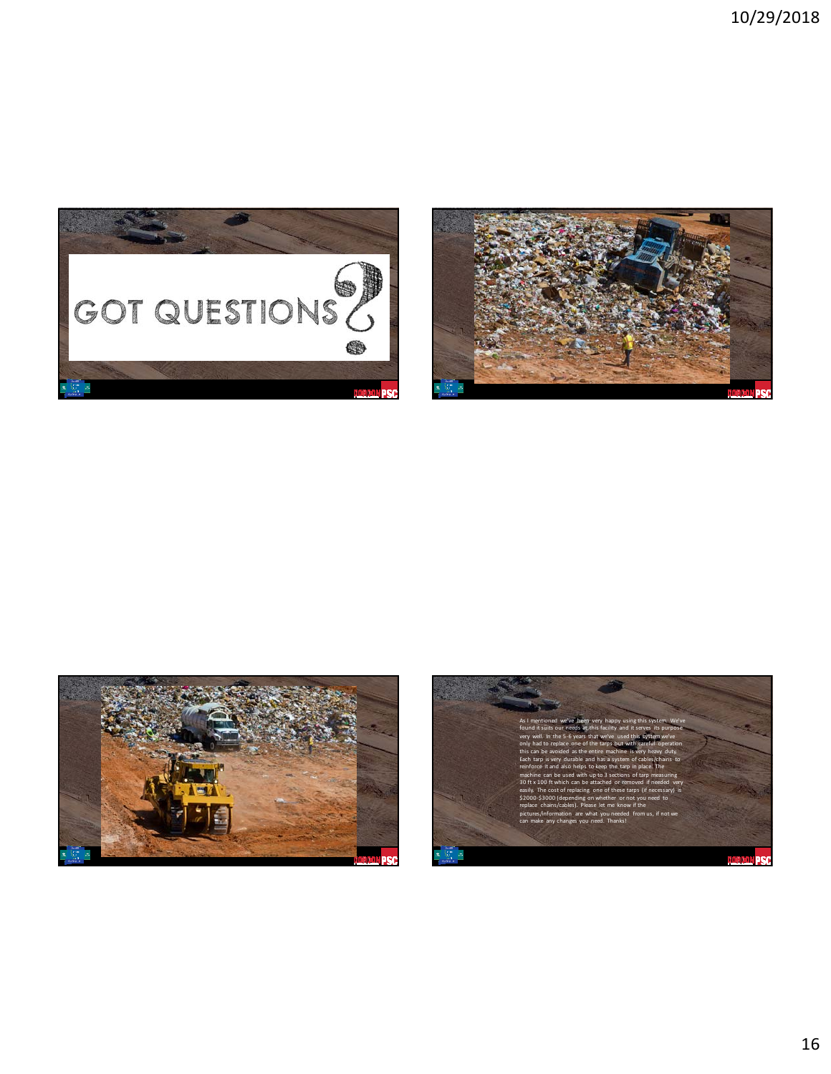